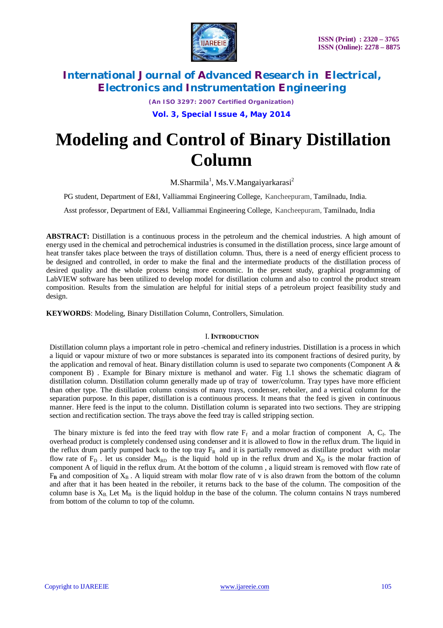

*(An ISO 3297: 2007 Certified Organization)*

**Vol. 3, Special Issue 4, May 2014**

# **Modeling and Control of Binary Distillation Column**

M.Sharmila<sup>1</sup>, Ms.V.Mangaiyarkarasi<sup>2</sup>

PG student, Department of E&I, Valliammai Engineering College, Kancheepuram, Tamilnadu, India.

Asst professor, Department of E&I, Valliammai Engineering College, Kancheepuram, Tamilnadu, India

**ABSTRACT:** Distillation is a continuous process in the petroleum and the chemical industries. A high amount of energy used in the chemical and petrochemical industries is consumed in the distillation process, since large amount of heat transfer takes place between the trays of distillation column. Thus, there is a need of energy efficient process to be designed and controlled, in order to make the final and the intermediate products of the distillation process of desired quality and the whole process being more economic. In the present study, graphical programming of LabVIEW software has been utilized to develop model for distillation column and also to control the product stream composition. Results from the simulation are helpful for initial steps of a petroleum project feasibility study and design.

**KEYWORDS**: Modeling, Binary Distillation Column, Controllers, Simulation.

#### I.**INTRODUCTION**

Distillation column plays a important role in petro -chemical and refinery industries. Distillation is a process in which a liquid or vapour mixture of two or more substances is separated into its component fractions of desired purity, by the application and removal of heat. Binary distillation column is used to separate two components (Component A  $\&$ component B) . Example for Binary mixture is methanol and water. Fig 1.1 shows the schematic diagram of distillation column. Distillation column generally made up of tray of tower/column. Tray types have more efficient than other type. The distillation column consists of many trays, condenser, reboiler, and a vertical column for the separation purpose. In this paper, distillation is a continuous process. It means that the feed is given in continuous manner. Here feed is the input to the column. Distillation column is separated into two sections. They are stripping section and rectification section. The trays above the feed tray is called stripping section.

The binary mixture is fed into the feed tray with flow rate  $F_f$  and a molar fraction of component A,  $C_f$ . The overhead product is completely condensed using condenser and it is allowed to flow in the reflux drum. The liquid in the reflux drum partly pumped back to the top tray  $F_R$  and it is partially removed as distillate product with molar flow rate of  $F_D$ . let us consider  $M_{RD}$  is the liquid hold up in the reflux drum and  $X_D$  is the molar fraction of component A of liquid in the reflux drum. At the bottom of the column , a liquid stream is removed with flow rate of  $F_B$  and composition of  $X_B$ . A liquid stream with molar flow rate of v is also drawn from the bottom of the column and after that it has been heated in the reboiler, it returns back to the base of the column. The composition of the column base is  $X_B$ . Let  $M_B$  is the liquid holdup in the base of the column. The column contains N trays numbered from bottom of the column to top of the column.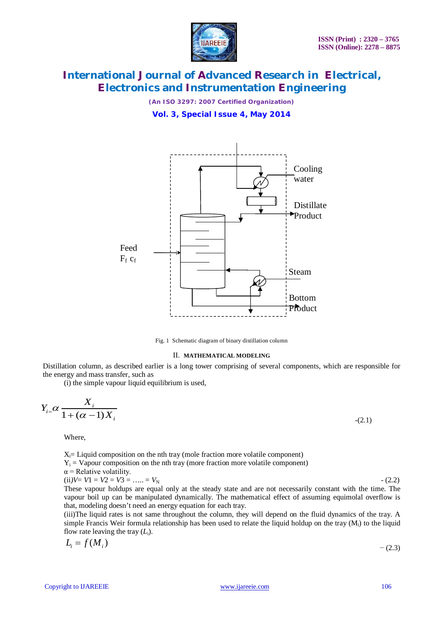

*(An ISO 3297: 2007 Certified Organization)*

**Vol. 3, Special Issue 4, May 2014**



Fig. 1 Schematic diagram of binary distillation column

#### II. **MATHEMATICAL MODELING**

Distillation column, as described earlier is a long tower comprising of several components, which are responsible for the energy and mass transfer, such as

(i) the simple vapour liquid equilibrium is used,

$$
Y_{i} = \alpha \frac{X_i}{1 + (\alpha - 1)X_i} \tag{2.1}
$$

Where,

 $X_i$ = Liquid composition on the nth tray (mole fraction more volatile component)  $Y_i = \text{Vapour composition on the nth } \text{trav (more fraction more volatile component)}$  $\alpha$  = Relative volatility. (ii) $V = V1 = V2 = V3 = \dots = V_N$  - (2.2)

These vapour holdups are equal only at the steady state and are not necessarily constant with the time. The vapour boil up can be manipulated dynamically. The mathematical effect of assuming equimolal overflow is that, modeling doesn't need an energy equation for each tray.

(iii)The liquid rates is not same throughout the column, they will depend on the fluid dynamics of the tray. A simple Francis Weir formula relationship has been used to relate the liquid holdup on the tray  $(M<sub>i</sub>)$  to the liquid flow rate leaving the tray  $(L_i)$ .

$$
L_i = f(M_i) \tag{2.3}
$$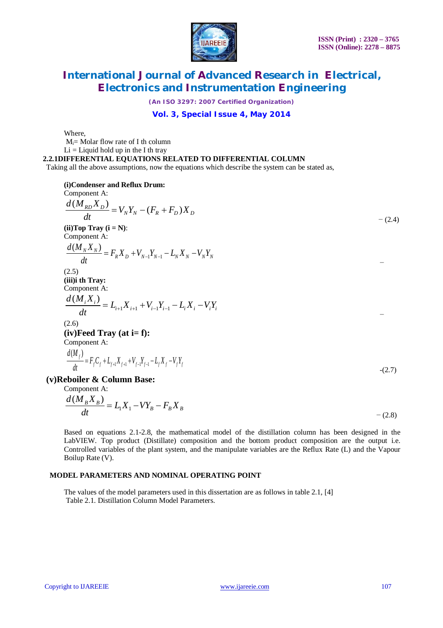

*(An ISO 3297: 2007 Certified Organization)*

### **Vol. 3, Special Issue 4, May 2014**

Where,

Mi= Molar flow rate of I th column

 $Li = Li$ quid hold up in the I th tray

**2.2.1DIFFERENTIAL EQUATIONS RELATED TO DIFFERENTIAL COLUMN** 

Taking all the above assumptions, now the equations which describe the system can be stated as,

**(i)Condenser and Reflux Drum:** Component A:

Component A:

\n
$$
\frac{d(M_{RD}X_D)}{dt} = V_N Y_N - (F_R + F_D)X_D
$$
\n(ii) Top Tray (i = N):

\nComponent A:

\n
$$
\frac{d(M_N X_N)}{dt} = F_R X_D + V_{N-1}Y_{N-1} - L_N X_N - V_N Y_N
$$
\n(2.5)

\n(2.5)

\nComponent A:

\n
$$
\frac{d(M_i X_i)}{dt} = L_{i+1}X_{i+1} + V_{i-1}Y_{i-1} - L_i X_i - V_i Y_i
$$
\n(2.6)

\n(iv) Feed Tray (at i = f):

\nComponent A:

\n
$$
\frac{d(M_j)}{dt} = F_j C_j + L_{j+1}X_{j+1} + V_{j-1}L_j X_j - V_j Y_j
$$
\n(2.7)

\ncolon R: Column Bose:

**(v)Reboiler & Column Base:**

Component A:  $-(2.8)$  $\frac{d(M_B X_B)}{d} = L_1 X_1 - V Y_B - F_B X_B$ *dt*  $= L_1 X_1 - V Y_B - I$ 

Based on equations 2.1-2.8, the mathematical model of the distillation column has been designed in the LabVIEW. Top product (Distillate) composition and the bottom product composition are the output i.e. Controlled variables of the plant system, and the manipulate variables are the Reflux Rate (L) and the Vapour Boilup Rate (V).

#### **MODEL PARAMETERS AND NOMINAL OPERATING POINT**

The values of the model parameters used in this dissertation are as follows in table 2.1, [4] Table 2.1. Distillation Column Model Parameters.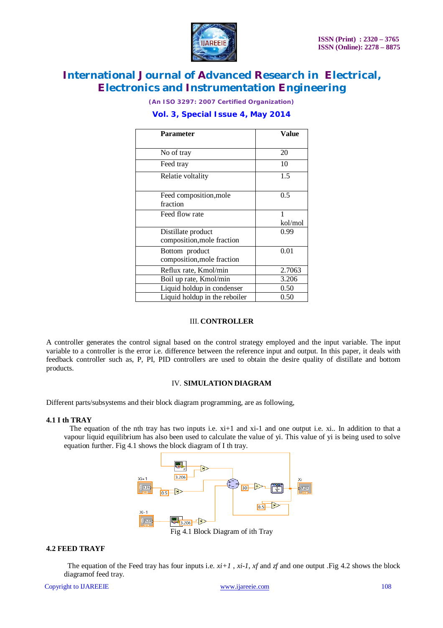

*(An ISO 3297: 2007 Certified Organization)*

### **Vol. 3, Special Issue 4, May 2014**

| <b>Parameter</b>              | Value   |
|-------------------------------|---------|
|                               |         |
| No of tray                    | 20      |
| Feed tray                     | 10      |
| Relatie voltality             | 1.5     |
|                               |         |
| Feed composition, mole        | 0.5     |
| fraction                      |         |
| Feed flow rate                | 1       |
|                               | kol/mol |
| Distillate product            | 0.99    |
| composition, mole fraction    |         |
| Bottom product                | 0.01    |
| composition, mole fraction    |         |
| Reflux rate, Kmol/min         | 2.7063  |
| Boil up rate, Kmol/min        | 3.206   |
| Liquid holdup in condenser    | 0.50    |
| Liquid holdup in the reboiler | 0.50    |

#### III. **CONTROLLER**

A controller generates the control signal based on the control strategy employed and the input variable. The input variable to a controller is the error i.e. difference between the reference input and output. In this paper, it deals with feedback controller such as, P, PI, PID controllers are used to obtain the desire quality of distillate and bottom products.

#### IV. **SIMULATION DIAGRAM**

Different parts/subsystems and their block diagram programming, are as following,

#### **4.1 I th TRAY**

The equation of the nth tray has two inputs i.e.  $x_i+1$  and  $x_i-1$  and one output i.e.  $x_i$ . In addition to that a vapour liquid equilibrium has also been used to calculate the value of yi. This value of yi is being used to solve equation further. Fig 4.1 shows the block diagram of I th tray.



Fig 4.1 Block Diagram of ith Tray

#### **4.2 FEED TRAYF**

The equation of the Feed tray has four inputs i.e.  $x_i+1$ ,  $x_i-1$ ,  $x_f$  and  $z_f$  and one output .Fig 4.2 shows the block diagramof feed tray.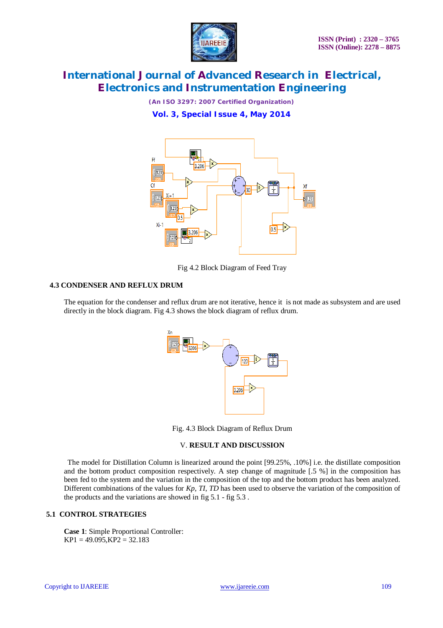

*(An ISO 3297: 2007 Certified Organization)*

**Vol. 3, Special Issue 4, May 2014**



Fig 4.2 Block Diagram of Feed Tray

### **4.3 CONDENSER AND REFLUX DRUM**

The equation for the condenser and reflux drum are not iterative, hence it is not made as subsystem and are used directly in the block diagram. Fig 4.3 shows the block diagram of reflux drum.



Fig. 4.3 Block Diagram of Reflux Drum

#### V. **RESULT AND DISCUSSION**

 The model for Distillation Column is linearized around the point [99.25%, .10%] i.e. the distillate composition and the bottom product composition respectively. A step change of magnitude [.5 %] in the composition has been fed to the system and the variation in the composition of the top and the bottom product has been analyzed. Different combinations of the values for *Kp*, *TI*, *TD* has been used to observe the variation of the composition of the products and the variations are showed in fig 5.1 - fig 5.3 .

### **5.1 CONTROL STRATEGIES**

**Case 1**: Simple Proportional Controller:  $KP1 = 49.095$ ,  $KP2 = 32.183$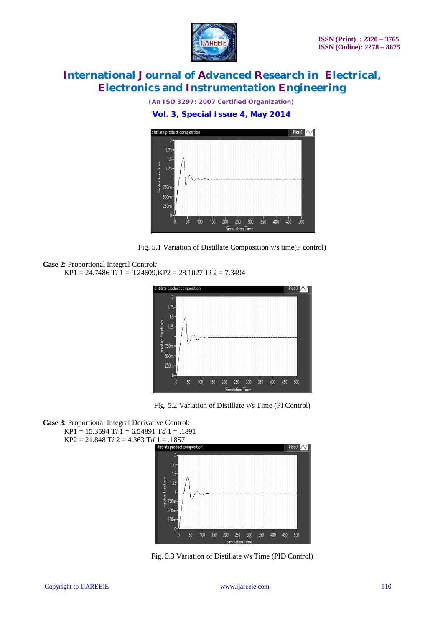

*(An ISO 3297: 2007 Certified Organization)*

**Vol. 3, Special Issue 4, May 2014**



Fig. 5.1 Variation of Distillate Composition v/s time(P control)

```
Case 2: Proportional Integral Control:
```
KP1 = 24.7486 T*i* 1 = 9.24609,KP2 = 28.1027 T*i* 2 = 7.3494



Fig. 5.2 Variation of Distillate v/s Time (PI Control)

```
Case 3: Proportional Integral Derivative Control:
KP1 = 15.3594 Ti 1 = 6.54891 Td 1 = .1891
KP2 = 21.848 Ti 2 = 4.363 Td 1 = .1857
```


Fig. 5.3 Variation of Distillate v/s Time (PID Control)